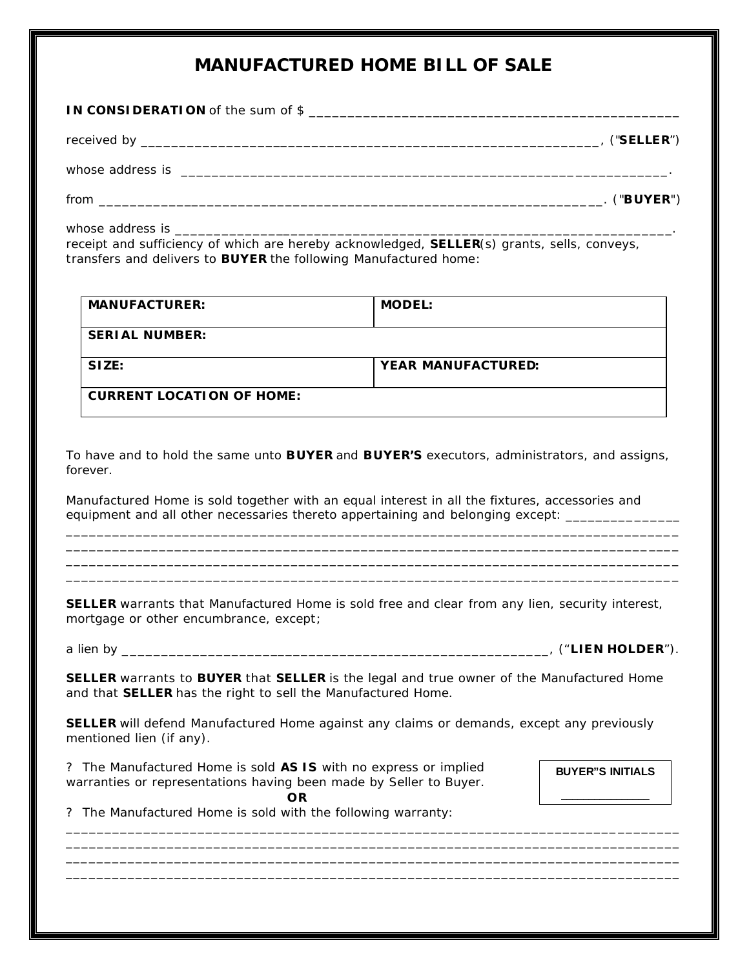## **MANUFACTURED HOME BILL OF SALE**

**IN CONSIDERATION** of the sum of \$ \_\_\_\_\_\_\_\_\_\_\_\_\_\_\_\_\_\_\_\_\_\_\_\_\_\_\_\_\_\_\_\_\_\_\_\_\_\_\_\_\_\_\_\_\_\_\_\_

received by \_\_\_\_\_\_\_\_\_\_\_\_\_\_\_\_\_\_\_\_\_\_\_\_\_\_\_\_\_\_\_\_\_\_\_\_\_\_\_\_\_\_\_\_\_\_\_\_\_\_\_\_\_\_\_\_\_\_\_, ("**SELLER**")

whose address is \_\_\_\_\_\_\_\_\_\_\_\_\_\_\_\_\_\_\_\_\_\_\_\_\_\_\_\_\_\_\_\_\_\_\_\_\_\_\_\_\_\_\_\_\_\_\_\_\_\_\_\_\_\_\_\_\_\_\_\_\_\_\_.

from \_\_\_\_\_\_\_\_\_\_\_\_\_\_\_\_\_\_\_\_\_\_\_\_\_\_\_\_\_\_\_\_\_\_\_\_\_\_\_\_\_\_\_\_\_\_\_\_\_\_\_\_\_\_\_\_\_\_\_\_\_\_\_\_\_. ("**BUYER**")

whose address is \_\_\_\_\_\_\_\_\_\_\_\_\_\_\_\_\_\_\_\_\_\_\_\_\_\_\_\_\_\_\_\_\_\_\_\_\_\_\_\_\_\_\_\_\_\_\_\_\_\_\_\_\_\_\_\_\_\_\_\_\_\_\_\_. receipt and sufficiency of which are hereby acknowledged, **SELLER**(s) grants, sells, conveys, transfers and delivers to **BUYER** the following Manufactured home:

| <b>MANUFACTURER:</b>             | <b>MODEL:</b>             |
|----------------------------------|---------------------------|
| <b>SERIAL NUMBER:</b>            |                           |
| SIZE:                            | <b>YEAR MANUFACTURED:</b> |
| <b>CURRENT LOCATION OF HOME:</b> |                           |

To have and to hold the same unto **BUYER** and **BUYER'S** executors, administrators, and assigns, forever.

\_\_\_\_\_\_\_\_\_\_\_\_\_\_\_\_\_\_\_\_\_\_\_\_\_\_\_\_\_\_\_\_\_\_\_\_\_\_\_\_\_\_\_\_\_\_\_\_\_\_\_\_\_\_\_\_\_\_\_\_\_\_\_\_\_\_\_\_\_\_\_\_\_\_\_\_\_\_\_ \_\_\_\_\_\_\_\_\_\_\_\_\_\_\_\_\_\_\_\_\_\_\_\_\_\_\_\_\_\_\_\_\_\_\_\_\_\_\_\_\_\_\_\_\_\_\_\_\_\_\_\_\_\_\_\_\_\_\_\_\_\_\_\_\_\_\_\_\_\_\_\_\_\_\_\_\_\_\_ \_\_\_\_\_\_\_\_\_\_\_\_\_\_\_\_\_\_\_\_\_\_\_\_\_\_\_\_\_\_\_\_\_\_\_\_\_\_\_\_\_\_\_\_\_\_\_\_\_\_\_\_\_\_\_\_\_\_\_\_\_\_\_\_\_\_\_\_\_\_\_\_\_\_\_\_\_\_\_ \_\_\_\_\_\_\_\_\_\_\_\_\_\_\_\_\_\_\_\_\_\_\_\_\_\_\_\_\_\_\_\_\_\_\_\_\_\_\_\_\_\_\_\_\_\_\_\_\_\_\_\_\_\_\_\_\_\_\_\_\_\_\_\_\_\_\_\_\_\_\_\_\_\_\_\_\_\_\_

Manufactured Home is sold together with an equal interest in all the fixtures, accessories and equipment and all other necessaries thereto appertaining and belonging except: \_\_\_\_\_\_\_\_

**SELLER** warrants that Manufactured Home is sold free and clear from any lien, security interest, mortgage or other encumbrance, except;

a lien by \_\_\_\_\_\_\_\_\_\_\_\_\_\_\_\_\_\_\_\_\_\_\_\_\_\_\_\_\_\_\_\_\_\_\_\_\_\_\_\_\_\_\_\_\_\_\_\_\_\_\_\_\_\_\_, ("**LIEN HOLDER**").

**SELLER** warrants to **BUYER** that **SELLER** is the legal and true owner of the Manufactured Home and that **SELLER** has the right to sell the Manufactured Home.

**SELLER** will defend Manufactured Home against any claims or demands, except any previously mentioned lien (if any).

\_\_\_\_\_\_\_\_\_\_\_\_\_\_\_\_\_\_\_\_\_\_\_\_\_\_\_\_\_\_\_\_\_\_\_\_\_\_\_\_\_\_\_\_\_\_\_\_\_\_\_\_\_\_\_\_\_\_\_\_\_\_\_\_\_\_\_\_\_\_\_\_\_\_\_\_\_\_\_ \_\_\_\_\_\_\_\_\_\_\_\_\_\_\_\_\_\_\_\_\_\_\_\_\_\_\_\_\_\_\_\_\_\_\_\_\_\_\_\_\_\_\_\_\_\_\_\_\_\_\_\_\_\_\_\_\_\_\_\_\_\_\_\_\_\_\_\_\_\_\_\_\_\_\_\_\_\_\_ \_\_\_\_\_\_\_\_\_\_\_\_\_\_\_\_\_\_\_\_\_\_\_\_\_\_\_\_\_\_\_\_\_\_\_\_\_\_\_\_\_\_\_\_\_\_\_\_\_\_\_\_\_\_\_\_\_\_\_\_\_\_\_\_\_\_\_\_\_\_\_\_\_\_\_\_\_\_\_ \_\_\_\_\_\_\_\_\_\_\_\_\_\_\_\_\_\_\_\_\_\_\_\_\_\_\_\_\_\_\_\_\_\_\_\_\_\_\_\_\_\_\_\_\_\_\_\_\_\_\_\_\_\_\_\_\_\_\_\_\_\_\_\_\_\_\_\_\_\_\_\_\_\_\_\_\_\_\_

? The Manufactured Home is sold **AS IS** with no express or implied warranties or representations having been made by Seller to Buyer. **OR**

**BUYER"S INITIALS**

? The Manufactured Home is sold with the following warranty: